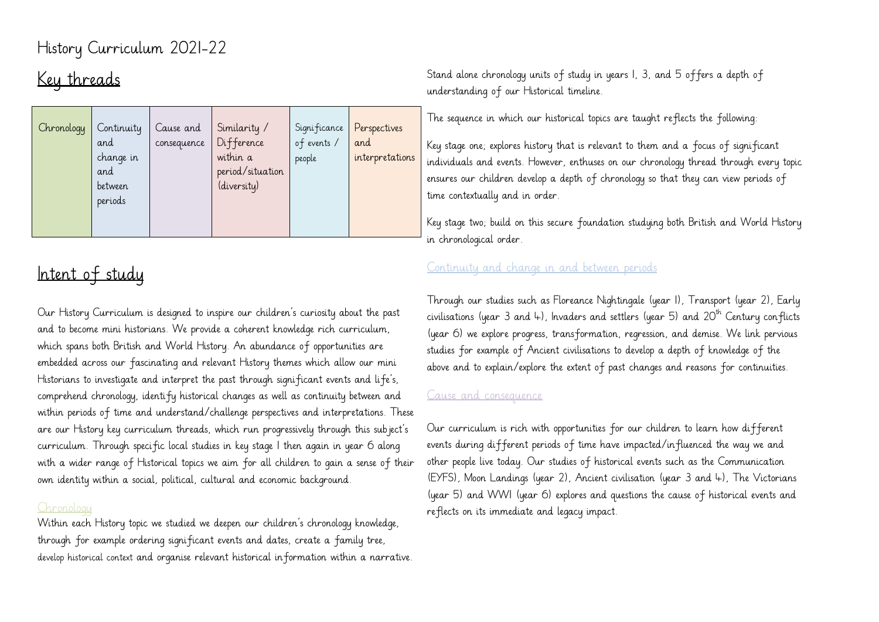### History Curriculum 2021-22

# Key threads

| Chronology | Continuity<br>and<br>change in<br>and<br><b>between</b><br>periods | Cause and<br>consequence | Similarity /<br>Difference<br>within a<br>period/situation<br>(diversity) | Significance<br>of events /<br>people | Perspectives<br>and<br>interpretations |
|------------|--------------------------------------------------------------------|--------------------------|---------------------------------------------------------------------------|---------------------------------------|----------------------------------------|
|------------|--------------------------------------------------------------------|--------------------------|---------------------------------------------------------------------------|---------------------------------------|----------------------------------------|

# Intent of study

Our History Curriculum is designed to inspire our children's curiosity about the past and to become mini historians. We provide a coherent knowledge rich curriculum, which spans both British and World History. An abundance of opportunities are embedded across our fascinating and relevant History themes which allow our mini Historians to investigate and interpret the past through significant events and life's, comprehend chronology, identify historical changes as well as continuity between and within periods of time and understand/challenge perspectives and interpretations. These are our History key curriculum threads, which run progressively through this subject's curriculum. Through specific local studies in key stage 1 then again in year 6 along with a wider range of Historical topics we aim for all children to gain a sense of their own identity within a social, political, cultural and economic background.

#### Chronology

Within each History topic we studied we deepen our children's chronology knowledge, through for example ordering significant events and dates, create a family tree, develop historical context and organise relevant historical information within a narrative. Stand alone chronology units of study in years 1, 3, and 5 offers a depth of understanding of our Historical timeline.

The sequence in which our historical topics are taught reflects the following:

Key stage one; explores history that is relevant to them and a focus of significant individuals and events. However, enthuses on our chronology thread through every topic ensures our children develop a depth of chronology so that they can view periods of time contextually and in order.

Key stage two; build on this secure foundation studying both British and World History in chronological order.

#### Continuity and change in and between periods

Through our studies such as Floreance Nightingale (year 1), Transport (year 2), Early civilisations (year 3 and 4), Invaders and settlers (year 5) and  $20^{th}$  Century conflicts (year 6) we explore progress, transformation, regression, and demise. We link pervious studies for example of Ancient civilisations to develop a depth of knowledge of the above and to explain/explore the extent of past changes and reasons for continuities.

#### Cause and consequence

Our curriculum is rich with opportunities for our children to learn how different events during different periods of time have impacted/influenced the way we and other people live today. Our studies of historical events such as the Communication (EYFS), Moon Landings (year 2), Ancient civilisation (year 3 and 4), The Victorians (year 5) and WW1 (year 6) explores and questions the cause of historical events and reflects on its immediate and legacy impact.